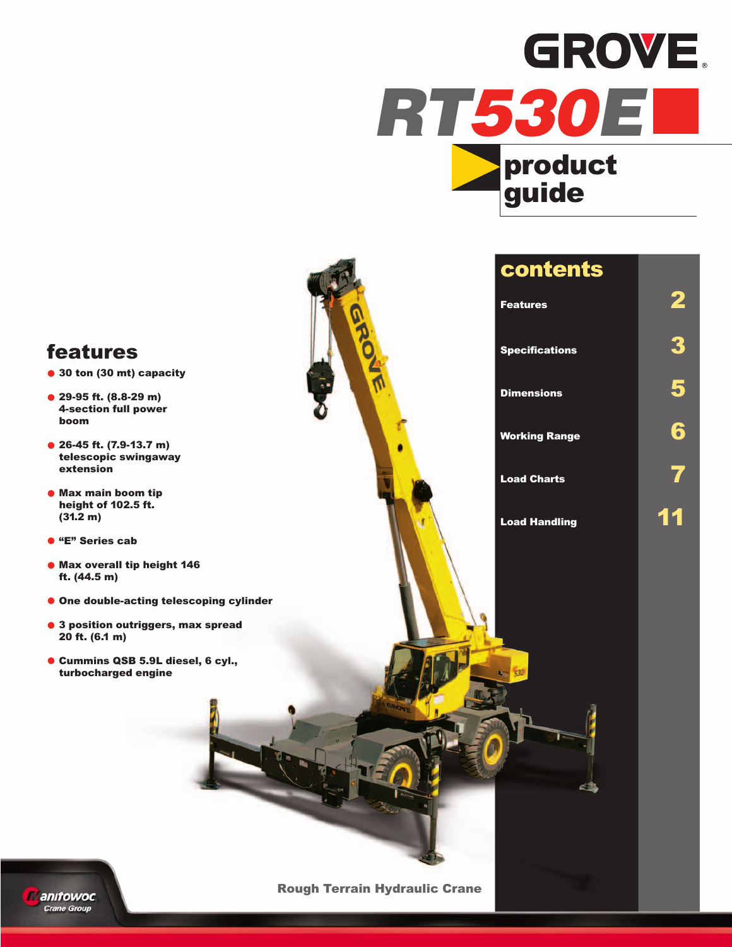

## **features**

- **• 30 ton (30 mt) capacity**
- **• 29-95 ft. (8.8-29 m) 4-section full power boom**
- **• 26-45 ft. (7.9-13.7 m) telescopic swingaway extension**
- **• Max main boom tip height of 102.5 ft. (31.2 m)**
- **• "E" Series cab**
- **• Max overall tip height 146 ft. (44.5 m)**
- **• One double-acting telescoping cylinder**
- **• <sup>3</sup> position outriggers, max spread 20 ft. (6.1 m)**
- **• Cummins QSB 5.9L diesel, 6 cyl., turbocharged engine**

| <b>contents</b>       |  |
|-----------------------|--|
| <b>Features</b>       |  |
| <b>Specifications</b> |  |
| <b>Dimensions</b>     |  |

**Working Range 6**

**Load Charts 7**

**Load Handling 11**



**Rough Terrain Hydraulic Crane**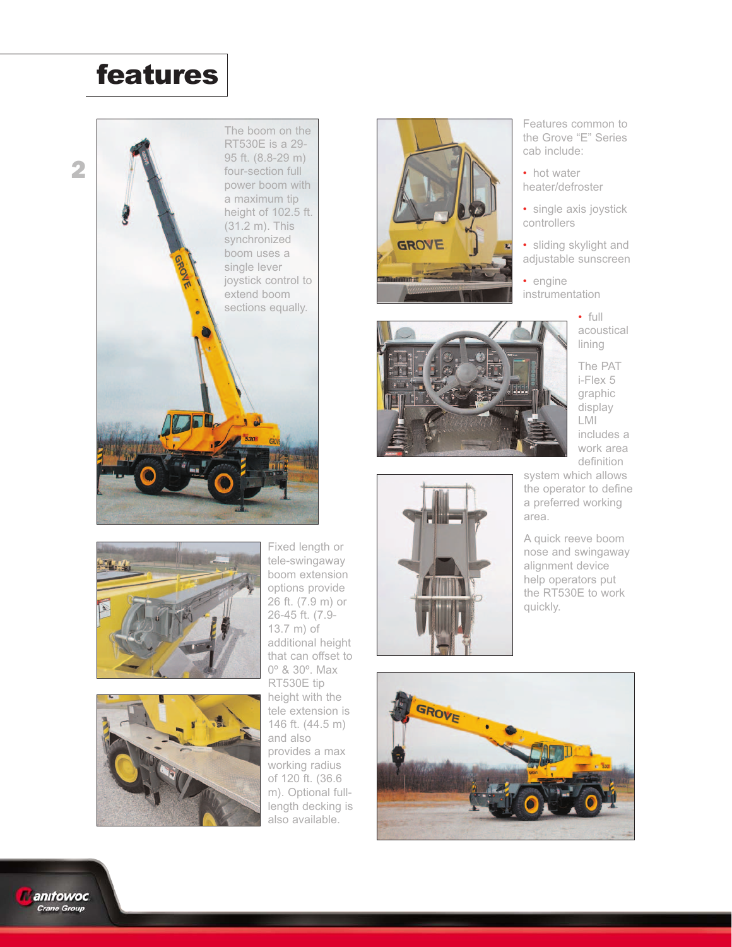## **features**







Fixed length or tele-swingaway boom extension options provide 26 ft. (7.9 m) or 26-45 ft. (7.9- 13.7 m) of additional height that can offset to 0º & 30º. Max RT530E tip height with the tele extension is 146 ft. (44.5 m) and also provides a max working radius of 120 ft. (36.6 m). Optional fulllength decking is also available.







Features common to the Grove "E" Series cab include:

• hot water heater/defroster

• single axis joystick controllers

• sliding skylight and adjustable sunscreen

• engine instrumentation

> • full acoustical lining

The PAT i-Flex 5 graphic display LMI includes a work area definition

system which allows the operator to define a preferred working area.

A quick reeve boom nose and swingaway alignment device help operators put the RT530E to work quickly.



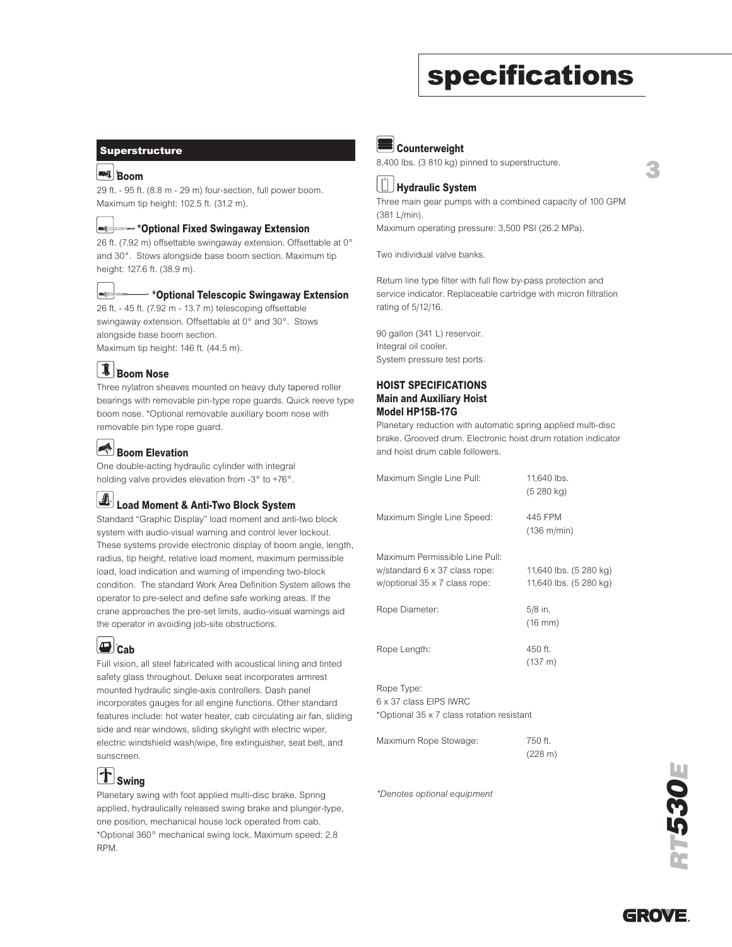## **specifications**

#### **Superstructure**

#### **Boom Boom**

29 ft. - 95 ft. (8.8 m - 29 m) four-section, full power boom. Maximum tip height: 102.5 ft. (31.2 m).



### **\*Optional Fixed Swingaway Extension Fixed Swingaway**

26 ft. (7.92 m) offsettable swingaway extension. Offsettable at 0° and 30°. Stows alongside base boom section. Maximum tip height: 127.6 ft. (38.9 m).



### **\*Optional Telescopic Swingaway Extension Tele-Swing-a-way**

26 ft. - 45 ft. (7.92 m - 13.7 m) telescoping offsettable swingaway extension. Offsettable at 0° and 30°. Stows alongside base boom section.

Maximum tip height: 146 ft. (44.5 m).

## **Boom Nose Boom Nose**

Three nylatron sheaves mounted on heavy duty tapered roller bearings with removable pin-type rope guards. Quick reeve type boom nose. \*Optional removable auxiliary boom nose with removable pin type rope guard.

#### **Boom Elevation Boom Elevation**

One double-acting hydraulic cylinder with integral holding valve provides elevation from -3° to +76°.

## **Load Moment & Anti-Two Block System & Anti-Two Block System**

Standard "Graphic Display" load moment and anti-two block system with audio-visual warning and control lever lockout. These systems provide electronic display of boom angle, length, radius, tip height, relative load moment, maximum permissible load, load indication and warning of impending two-block condition. The standard Work Area Definition System allows the operator to pre-select and define safe working areas. If the crane approaches the pre-set limits, audio-visual warnings aid the operator in avoiding job-site obstructions.

## **Cab Cab**

Full vision, all steel fabricated with acoustical lining and tinted safety glass throughout. Deluxe seat incorporates armrest mounted hydraulic single-axis controllers. Dash panel incorporates gauges for all engine functions. Other standard features include: hot water heater, cab circulating air fan, sliding side and rear windows, sliding skylight with electric wiper, electric windshield wash/wipe, fire extinguisher, seat belt, and sunscreen.

#### $|\mathbf{T}|$ **Swing Swing**

Planetary swing with foot applied multi-disc brake. Spring applied, hydraulically released swing brake and plunger-type, one position, mechanical house lock operated from cab. \*Optional 360° mechanical swing lock. Maximum speed: 2.8 RPM.



8,400 lbs. (3 810 kg) pinned to superstructure.



Three main gear pumps with a combined capacity of 100 GPM (381 L/min). Maximum operating pressure: 3,500 PSI (26.2 MPa).

Two individual valve banks.

Return line type filter with full flow by-pass protection and service indicator. Replaceable cartridge with micron filtration rating of 5/12/16.

90 gallon (341 L) reservoir. Integral oil cooler. System pressure test ports.

#### **HOIST SPECIFICATIONS Main and Auxiliary Hoist Model HP15B-17G**

Planetary reduction with automatic spring applied multi-disc brake. Grooved drum. Electronic hoist drum rotation indicator and hoist drum cable followers.

| Maximum Single Line Pull:                                                                        | 11,640 lbs.<br>(5280 kg)                         |
|--------------------------------------------------------------------------------------------------|--------------------------------------------------|
| Maximum Single Line Speed:                                                                       | 445 FPM<br>(136 m/min)                           |
| Maximum Permissible Line Pull:<br>w/standard 6 x 37 class rope:<br>w/optional 35 x 7 class rope: | 11,640 lbs. (5 280 kg)<br>11,640 lbs. (5 280 kg) |
| Rope Diameter:                                                                                   | 5/8 in.<br>$(16 \, \text{mm})$                   |
| Rope Length:                                                                                     | 450 ft.<br>(137 m)                               |
| Rope Type:<br>6 x 37 class EIPS IWRC<br>*Optional 35 x 7 class rotation resistant                |                                                  |

| Maximum Rope Stowage: | 750 ft. |
|-----------------------|---------|
|                       | (228 m) |

*\*Denotes optional equipment*



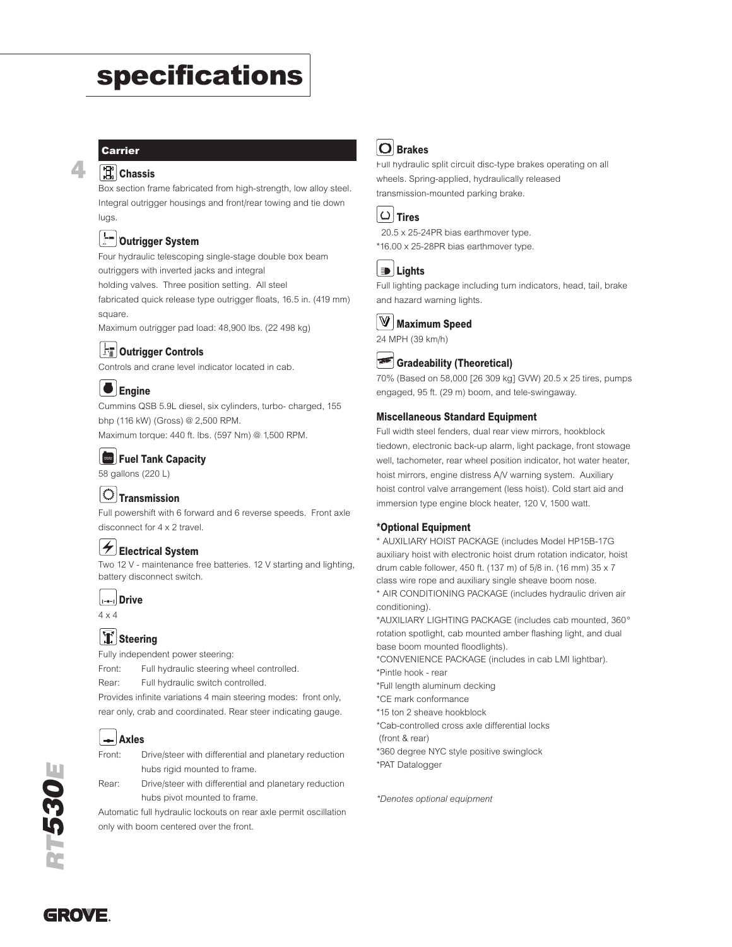## **specifications**

### **Carrier**

**4**

#### **Chassis Frame**

Box section frame fabricated from high-strength, low alloy steel. Integral outrigger housings and front/rear towing and tie down luas

#### ļ-**Outrigger System**

Four hydraulic telescoping single-stage double box beam outriggers with inverted jacks and integral

holding valves. Three position setting. All steel

fabricated quick release type outrigger floats, 16.5 in. (419 mm) square.

Maximum outrigger pad load: 48,900 lbs. (22 498 kg)

### **Outrigger Controls Outrigger Controls**

Controls and crane level indicator located in cab.

## **Engine Engine**

Cummins QSB 5.9L diesel, six cylinders, turbo- charged, 155 bhp (116 kW) (Gross) @ 2,500 RPM. Maximum torque: 440 ft. lbs. (597 Nm) @ 1,500 RPM.

## **Fuel Tank Capacity Fuel Tank Capacity**

58 gallons (220 L)

## **Transmission Transmission**

Full powershift with 6 forward and 6 reverse speeds. Front axle disconnect for 4 x 2 travel.

### **Electrical System Electrical System**

Two 12 V - maintenance free batteries. 12 V starting and lighting, battery disconnect switch.

```
\vert_{1-\bullet-1}Drive
Drive
```
4 x 4

### **Steering Steering**

Fully independent power steering:

Front: Full hydraulic steering wheel controlled.

Rear: Full hydraulic switch controlled.

Provides infinite variations 4 main steering modes: front only, rear only, crab and coordinated. Rear steer indicating gauge.

## **Axles Axles**



Rear: Drive/steer with differential and planetary reduction hubs pivot mounted to frame.

Automatic full hydraulic lockouts on rear axle permit oscillation only with boom centered over the front.

## **Brakes Brakes**

Full hydraulic split circuit disc-type brakes operating on all wheels. Spring-applied, hydraulically released transmission-mounted parking brake.



```
20.5 x 25-24PR bias earthmover type.
*16.00 x 25-28PR bias earthmover type.
```
### **Lights Lights**

Full lighting package including turn indicators, head, tail, brake and hazard warning lights.



24 MPH (39 km/h)

## **Gradeability (Theoretical) Grade**

70% (Based on 58,000 [26 309 kg] GVW) 20.5 x 25 tires, pumps engaged, 95 ft. (29 m) boom, and tele-swingaway.

#### **Miscellaneous Standard Equipment**

Full width steel fenders, dual rear view mirrors, hookblock tiedown, electronic back-up alarm, light package, front stowage well, tachometer, rear wheel position indicator, hot water heater, hoist mirrors, engine distress A/V warning system. Auxiliary hoist control valve arrangement (less hoist). Cold start aid and immersion type engine block heater, 120 V, 1500 watt.

### **\*Optional Equipment**

\* AUXILIARY HOIST PACKAGE (includes Model HP15B-17G auxiliary hoist with electronic hoist drum rotation indicator, hoist drum cable follower, 450 ft. (137 m) of 5/8 in. (16 mm) 35 x 7 class wire rope and auxiliary single sheave boom nose. \* AIR CONDITIONING PACKAGE (includes hydraulic driven air conditioning).

\*AUXILIARY LIGHTING PACKAGE (includes cab mounted, 360° rotation spotlight, cab mounted amber flashing light, and dual base boom mounted floodlights).

\*CONVENIENCE PACKAGE (includes in cab LMI lightbar).

\*Pintle hook - rear

\*Full length aluminum decking

\*CE mark conformance

\*15 ton 2 sheave hookblock

\*Cab-controlled cross axle differential locks

(front & rear)

\*360 degree NYC style positive swinglock \*PAT Datalogger

*\*Denotes optional equipment*



GROVE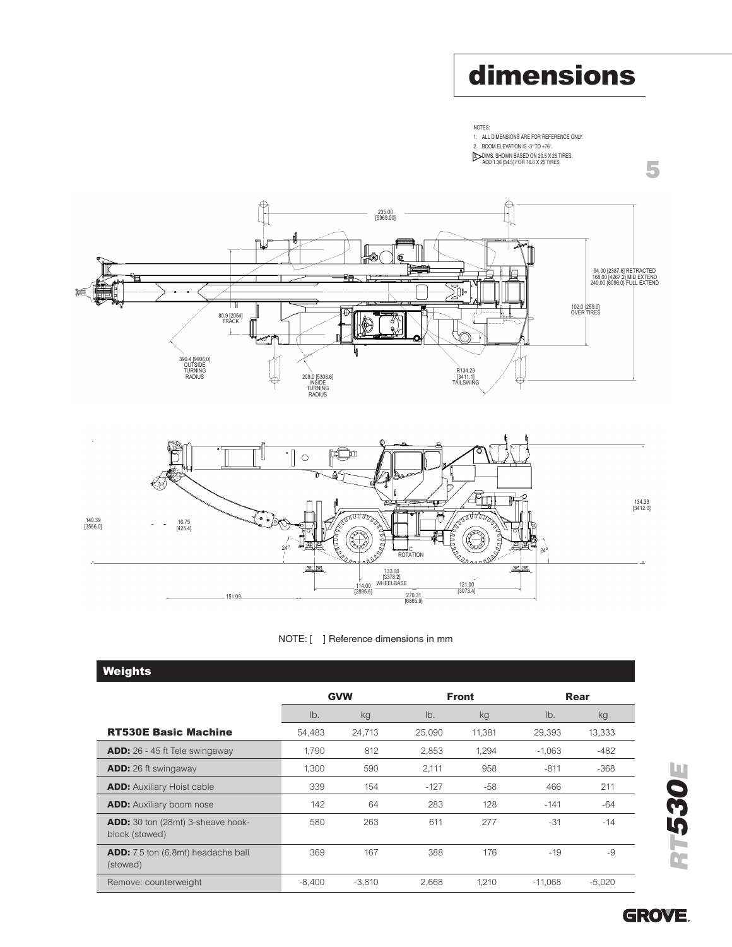## **dimensions**

**5**



3. DIMS. SHOWN BASED ON 20.5 X 25 TIRES. ADD 1.36 [34.5] FOR 16.0 X 25 TIRES.







| <b>Weights</b>                                             |          |            |        |              |           |          |  |
|------------------------------------------------------------|----------|------------|--------|--------------|-----------|----------|--|
|                                                            |          | <b>GVW</b> |        | <b>Front</b> | Rear      |          |  |
|                                                            | lb.      | kg         | Ib.    | kg           | $Ib$ .    | kg       |  |
| <b>RT530E Basic Machine</b>                                | 54,483   | 24,713     | 25,090 | 11,381       | 29,393    | 13,333   |  |
| <b>ADD:</b> 26 - 45 ft Tele swingaway                      | 1.790    | 812        | 2,853  | 1,294        | $-1.063$  | $-482$   |  |
| <b>ADD:</b> 26 ft swingaway                                | 1,300    | 590        | 2,111  | 958          | $-811$    | $-368$   |  |
| <b>ADD:</b> Auxiliary Hoist cable                          | 339      | 154        | $-127$ | $-58$        | 466       | 211      |  |
| <b>ADD:</b> Auxiliary boom nose                            | 142      | 64         | 283    | 128          | $-141$    | $-64$    |  |
| <b>ADD:</b> 30 ton (28mt) 3-sheave hook-<br>block (stowed) | 580      | 263        | 611    | 277          | $-31$     | $-14$    |  |
| <b>ADD:</b> 7.5 ton (6.8mt) headache ball<br>(stowed)      | 369      | 167        | 388    | 176          | $-19$     | $-9$     |  |
| Remove: counterweight                                      | $-8.400$ | $-3,810$   | 2,668  | 1,210        | $-11,068$ | $-5,020$ |  |



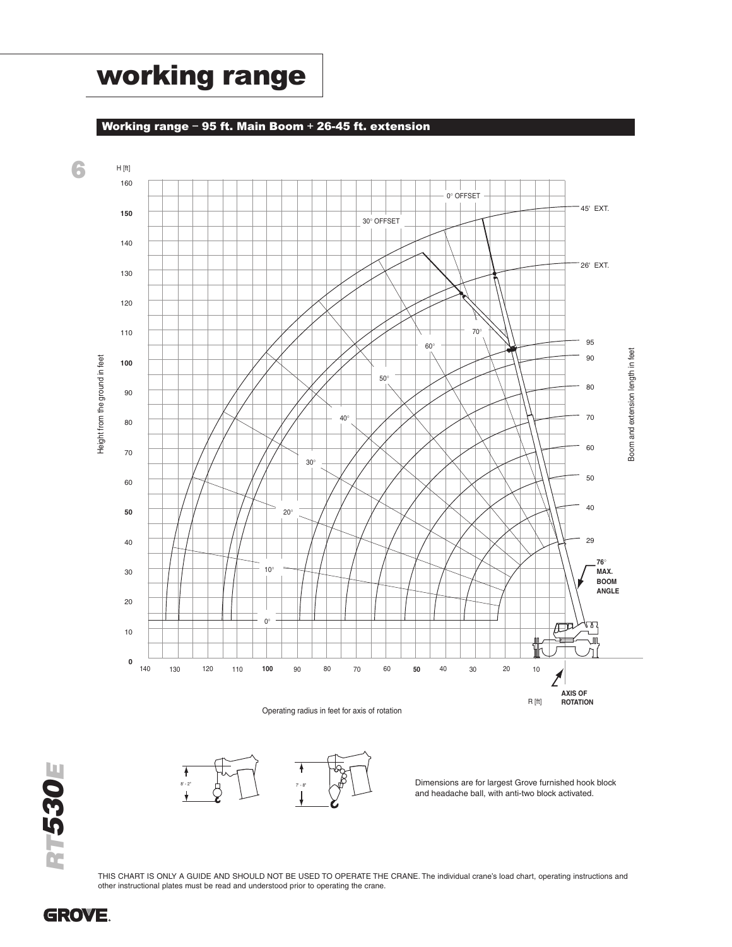## **working range**

### **Working range – 95 ft. Main Boom + 26-45 ft. extension**



*RT530E*



Dimensions are for largest Grove furnished hook block and headache ball, with anti-two block activated.

**GROVE.**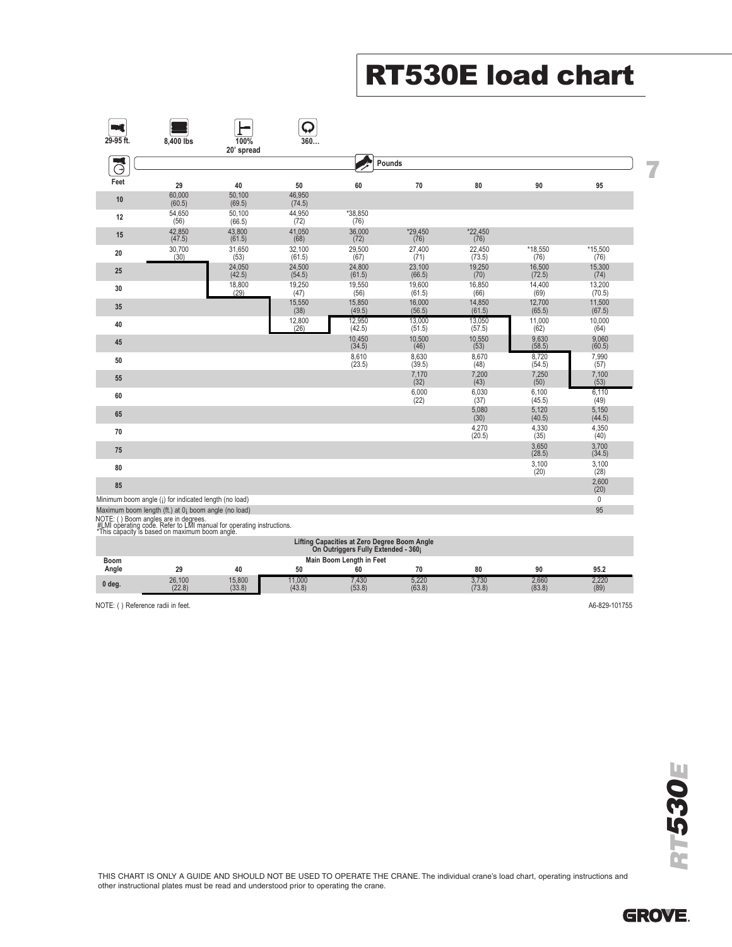# **RT530E load chart**

|           |                                                                                                                                                                |                    | Q                |                  |                  |                  |                  |                  |  |
|-----------|----------------------------------------------------------------------------------------------------------------------------------------------------------------|--------------------|------------------|------------------|------------------|------------------|------------------|------------------|--|
| 29-95 ft. | 8.400 lbs                                                                                                                                                      | 100%<br>20' spread | 360              |                  |                  |                  |                  |                  |  |
|           |                                                                                                                                                                |                    |                  |                  | Pounds           |                  |                  |                  |  |
| Θ         |                                                                                                                                                                |                    |                  |                  |                  |                  |                  |                  |  |
| Feet      | 29                                                                                                                                                             | 40                 | 50               | 60               | 70               | 80               | 90               | 95               |  |
| 10        | 60,000<br>(60.5)                                                                                                                                               | 50.100<br>(69.5)   | 46,950<br>(74.5) |                  |                  |                  |                  |                  |  |
| 12        | 54,650<br>(56)                                                                                                                                                 | 50,100<br>(66.5)   | 44,950<br>(72)   | *38.850<br>(76)  |                  |                  |                  |                  |  |
| 15        | 42,850<br>(47.5)                                                                                                                                               | 43.800<br>(61.5)   | 41.050<br>(68)   | 36,000<br>(72)   | *29.450<br>(76)  | *22,450<br>(76)  |                  |                  |  |
| $20\,$    | 30,700<br>(30)                                                                                                                                                 | 31,650<br>(53)     | 32,100<br>(61.5) | 29,500<br>(67)   | 27,400<br>(71)   | 22,450<br>(73.5) | *18,550<br>(76)  | *15,500<br>(76)  |  |
| 25        |                                                                                                                                                                | 24,050<br>(42.5)   | 24,500<br>(54.5) | 24,800<br>(61.5) | 23,100<br>(66.5) | 19,250<br>(70)   | 16,500<br>(72.5) | 15,300<br>(74)   |  |
| 30        |                                                                                                                                                                | 18,800<br>(29)     | 19,250<br>(47)   | 19,550<br>(56)   | 19,600<br>(61.5) | 16,850<br>(66)   | 14,400<br>(69)   | 13,200<br>(70.5) |  |
| 35        |                                                                                                                                                                |                    | 15,550<br>(38)   | 15,850<br>(49.5) | 16,000<br>(56.5) | 14,850<br>(61.5) | 12,700<br>(65.5) | 11,500<br>(67.5) |  |
| 40        |                                                                                                                                                                |                    | 12,800<br>(26)   | 12,950<br>(42.5) | 13.000<br>(51.5) | 13.050<br>(57.5) | 11,000<br>(62)   | 10,000<br>(64)   |  |
| 45        |                                                                                                                                                                |                    |                  | 10.450<br>(34.5) | 10.500<br>(46)   | 10.550<br>(53)   | 9.630<br>(58.5)  | 9.060<br>(60.5)  |  |
| 50        |                                                                                                                                                                |                    |                  | 8,610<br>(23.5)  | 8,630<br>(39.5)  | 8,670<br>(48)    | 8,720<br>(54.5)  | 7,990<br>(57)    |  |
| 55        |                                                                                                                                                                |                    |                  |                  | 7,170<br>(32)    | 7,200<br>(43)    | 7,250<br>(50)    | 7,100<br>(53)    |  |
| 60        |                                                                                                                                                                |                    |                  |                  | 6,000<br>(22)    | 6,030<br>(37)    | 6,100<br>(45.5)  | 6,110<br>(49)    |  |
| 65        |                                                                                                                                                                |                    |                  |                  |                  | 5,080<br>(30)    | 5,120<br>(40.5)  | 5,150<br>(44.5)  |  |
| 70        |                                                                                                                                                                |                    |                  |                  |                  | 4,270<br>(20.5)  | 4,330<br>(35)    | 4,350<br>(40)    |  |
| 75        |                                                                                                                                                                |                    |                  |                  |                  |                  | 3.650<br>(28.5)  | 3.700<br>(34.5)  |  |
| 80        |                                                                                                                                                                |                    |                  |                  |                  |                  | 3,100<br>(20)    | 3,100<br>(28)    |  |
| 85        |                                                                                                                                                                |                    |                  |                  |                  |                  |                  | 2,600<br>(20)    |  |
|           | Minimum boom angle (i) for indicated length (no load)                                                                                                          |                    |                  |                  |                  |                  |                  | $\mathbf 0$      |  |
|           | Maximum boom length (ft.) at 0; boom angle (no load)                                                                                                           |                    |                  |                  |                  |                  |                  | 95               |  |
|           | NOTE: () Boom angles are in degrees.<br>#LMI operating code. Refer to LMI manual for operating instructions.<br>*This capacity is based on maximum boom angle. |                    |                  |                  |                  |                  |                  |                  |  |

| Lifting Capacities at Zero Degree Boom Angle<br>On Outriggers Fully Extended - 360;                |                  |                  |                 |                 |                 |                 |                 |               |  |  |
|----------------------------------------------------------------------------------------------------|------------------|------------------|-----------------|-----------------|-----------------|-----------------|-----------------|---------------|--|--|
| Main Boom Length in Feet<br><b>Boom</b><br>Angle<br>80<br>95.2<br>50<br>90<br>29<br>60<br>70<br>40 |                  |                  |                 |                 |                 |                 |                 |               |  |  |
| 0 deg.                                                                                             | 26,100<br>(22.8) | 15.800<br>(33.8) | 1.000<br>(43.8) | 7.430<br>(53.8) | 5.220<br>(63.8) | 3.730<br>(73.8) | 2.660<br>(83.8) | 2,220<br>(89) |  |  |

NOTE: () Reference radii in feet. A6-829-101755

THIS CHART IS ONLY A GUIDE AND SHOULD NOT BE USED TO OPERATE THE CRANE. The individual crane's load chart, operating instructions and other instructional plates must be read and understood prior to operating the crane.

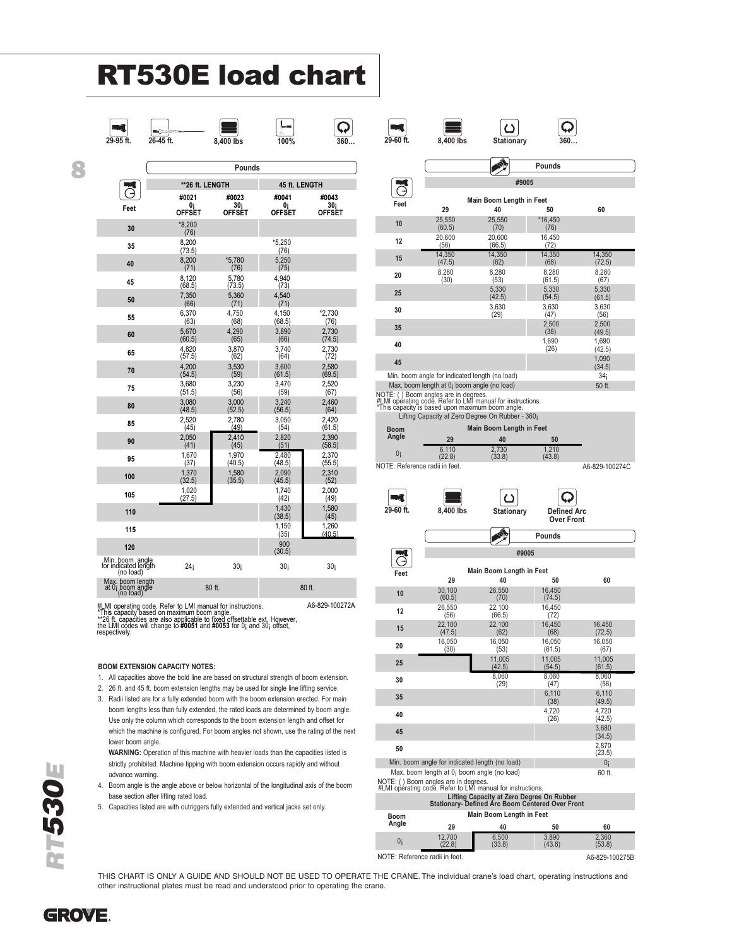# **RT530E load chart**

**Pounds** 

**30¡ OFFSET**

\*5,780 (76)

5,780  $(73.5)$ 

5,360 (71)

4,750 (68)

4,290  $(65)$ 

3,870  $(62)$ 

3,530 (59)

3,230 (56)

3,000 (52.5)

2,780  $(49)$ 

2,410 (45)

1,970  $(40.5)$ 

1,580 (35.5)

**\*\*26 ft. LENGTH 45 ft. LENGTH #0021 #0023 #0041 #0043**

> **0¡ OFFSET**

¦⊶

\*5,250 (76)

5,250 (75)

4,940 (73)

4,540 (71)

4,150  $(68.5)$ 

> 3,890  $(66)$

3,740  $(64)$ 

3,600 (61.5)

3,470 (59)

3,240 (56.5)

3,050 (54)

2,820 (51)

2,480 (48.5)

2,090  $(45.5)$ 

1,740  $(42)$ 



**Feet**

 $\vec{C}$ 

**8**

**30** \*8,200

**35** 8,200 (73.5)

**40** 8,200 (71)

**45** 8,120

**50** 7,350 (66)

**55** 6,370

**60** 5,670

**65** 4,820

**70** 4,200 (54.5)

**75** 3,680

**80** 3,080

**85** 2,520

**90** 2,050 (41)

**95** 1,670

**100** 1,370 (32.5)

**105** 1,020

**0¡ OFFSET**

(76)

(68.5)

(63)

(60.5)

 $(57.5)$ 

 $(51.5)$ 

(48.5)

 $(45)$ 

(37)

 $(27.5)$ 

**110** 1,430





**30¡ OFFSET**

\*2,730 (76)

2,730  $(74.5)$ 

2,730 (72)

2,580 (69.5)

2,520  $(67)$ 

2,460  $(64)$ 

2,420 (61.5)

2,390 (58.5)

2,370 (55.5)

2,310 (52)

2,000  $(49)$ 

1,580

щ





 $\overline{\mathsf{Q}}$ 

Ą **Pounds #9005**  $\overline{G}$ **Main Boom Length in Feet Feet 29 40 50 60** \*16,450 **10** 25,550 (60.5) 25,550 (70) (76) **12** 20,600 16,450 20,600  $(56)$ (66.5)  $(72)$ 14,350 **15** 14,350 (47.5) 14,350 (62) 14,350 (72.5)  $(68)$ **20** 8,280 8,280 8,280 8,280 (30) (53) (61.5) (67) 5,330 5,330 **25** 5,330  $(42.5)$  $(54.5)$ (61.5) **30** 3,630 3,630 3,630 (29)  $(47)$ (56) 2,500 **35** 2,500  $(38)$ <br>1,690  $(49.5)$ 1,690 **40** 1,690  $(26)$  $(42.5)$ **45** 1,090  $(34.5)$ <br> $34<sub>i</sub>$ 

Min. boom angle for indicated length (no load)  $34\frac{34}{1}$ <br>Max. boom length at 0<sub>i</sub> boom angle (no load) 50 ft. Max. boom length at  $0<sub>i</sub>$  boom angle (no load)

NOTE: ( ) Boom angles are in degrees. #LMI operating code. Refer to LMI manual for instructions. \*This capacity is based upon maximum boom angle.

Lifting Capacity at Zero Degree On Rubber - 360¡

**Boom Main Boom Length in Fee** 

| $-00111$                       |                 |                 |                 |                |
|--------------------------------|-----------------|-----------------|-----------------|----------------|
| Anale                          | 29              | 40              | 50              |                |
| 0i                             | 6.110<br>(22.8) | 2.730<br>(33.8) | 1.210<br>(43.8) |                |
| NOTE: Reference radii in feet. |                 |                 |                 | A6-829-100274C |



|                                      |                  |                                                                                                           | Pounds           |                  |  |  |  |  |  |  |
|--------------------------------------|------------------|-----------------------------------------------------------------------------------------------------------|------------------|------------------|--|--|--|--|--|--|
|                                      | #9005            |                                                                                                           |                  |                  |  |  |  |  |  |  |
|                                      |                  |                                                                                                           |                  |                  |  |  |  |  |  |  |
| Feet                                 | 29               | Main Boom Length in Feet<br>40                                                                            | 50               | 60               |  |  |  |  |  |  |
| 10                                   | 30.100<br>(60.5) | 26,550<br>(70)                                                                                            | 16.450<br>(74.5) |                  |  |  |  |  |  |  |
| 12                                   | 26.550<br>(56)   | 22.100<br>(66.5)                                                                                          | 16.450<br>(72)   |                  |  |  |  |  |  |  |
| 15                                   | 22.100<br>(47.5) | 22.100<br>(62)                                                                                            | 16.450<br>(68)   | 16.450<br>(72.5) |  |  |  |  |  |  |
| 20                                   | 16,050<br>(30)   | 16.050<br>(53)                                                                                            | 16,050<br>(61.5) | 16,050<br>(67)   |  |  |  |  |  |  |
| 25                                   |                  | 11,005<br>(42.5)                                                                                          | 11.005<br>(54.5) | 11.005<br>(61.5) |  |  |  |  |  |  |
| 30                                   |                  | 8.060<br>(29)                                                                                             | 8.060<br>(47)    | 8.060<br>(56)    |  |  |  |  |  |  |
| 35                                   |                  |                                                                                                           | 6.110<br>(38)    | 6.110<br>(49.5)  |  |  |  |  |  |  |
| 40                                   |                  |                                                                                                           | 4.720<br>(26)    | 4.720<br>(42.5)  |  |  |  |  |  |  |
| 45                                   |                  |                                                                                                           |                  | 3.680<br>(34.5)  |  |  |  |  |  |  |
| 50                                   |                  |                                                                                                           |                  | 2,870<br>(23.5)  |  |  |  |  |  |  |
|                                      |                  | Min. boom angle for indicated length (no load)                                                            |                  | 0 <sub>i</sub>   |  |  |  |  |  |  |
| NOTE: () Boom angles are in degrees. |                  | Max. boom length at 0; boom angle (no load)<br>#LMI opérating code. Refer to LMI manual for instructions. |                  | 60 ft.           |  |  |  |  |  |  |
|                                      |                  | Lifting Capacity at Zero Degree On Rubber<br><b>Stationary- Defined Arc Boom Centered Over Front</b>      |                  |                  |  |  |  |  |  |  |
| Boom                                 |                  | Main Boom Length in Feet                                                                                  |                  |                  |  |  |  |  |  |  |

**Angle 29 40 50 60** 0¡ 12,700 (22.8) 6,500 (33.8) 3,890 (43.8) 2,360 (53.8)

NOTE: Reference radii in feet. A6-829-100275B

(38.5) (45) **115** 1,150  $\frac{1,150}{(35)}$ 1,260 (40.5) **120** 900  $(30.5)$ Min. boom angle for indicated length (no load) 24¡ 30¡ 30¡ 30¡ Max. boom length at 0¡ boom angle (no load) 80 ft. 80 ft.

#LMI operating code. Refer to LMI manual for instructions. [1984]<br>\*This capacity based on maximum boom angle.<br>\*\*26 ft. capacities are also applicable to fixed offsettable ext. However,<br>the LMI codes will change to #0051 an

#### **BOOM EXTENSION CAPACITY NOTES:**

- 1. All capacities above the bold line are based on structural strength of boom extension.
- 2. 26 ft. and 45 ft. boom extension lengths may be used for single line lifting service.
- 3. Radii listed are for a fully extended boom with the boom extension erected. For main boom lengths less than fully extended, the rated loads are determined by boom angle. Use only the column which corresponds to the boom extension length and offset for which the machine is configured. For boom angles not shown, use the rating of the next lower boom angle.

**WARNING:** Operation of this machine with heavier loads than the capacities listed is strictly prohibited. Machine tipping with boom extension occurs rapidly and without advance warning.

- 4. Boom angle is the angle above or below horizontal of the longitudinal axis of the boom base section after lifting rated load.
- 5. Capacities listed are with outriggers fully extended and vertical jacks set only.

THIS CHART IS ONLY A GUIDE AND SHOULD NOT BE USED TO OPERATE THE CRANE. The individual crane's load chart, operating instructions and other instructional plates must be read and understood prior to operating the crane.



GROVE.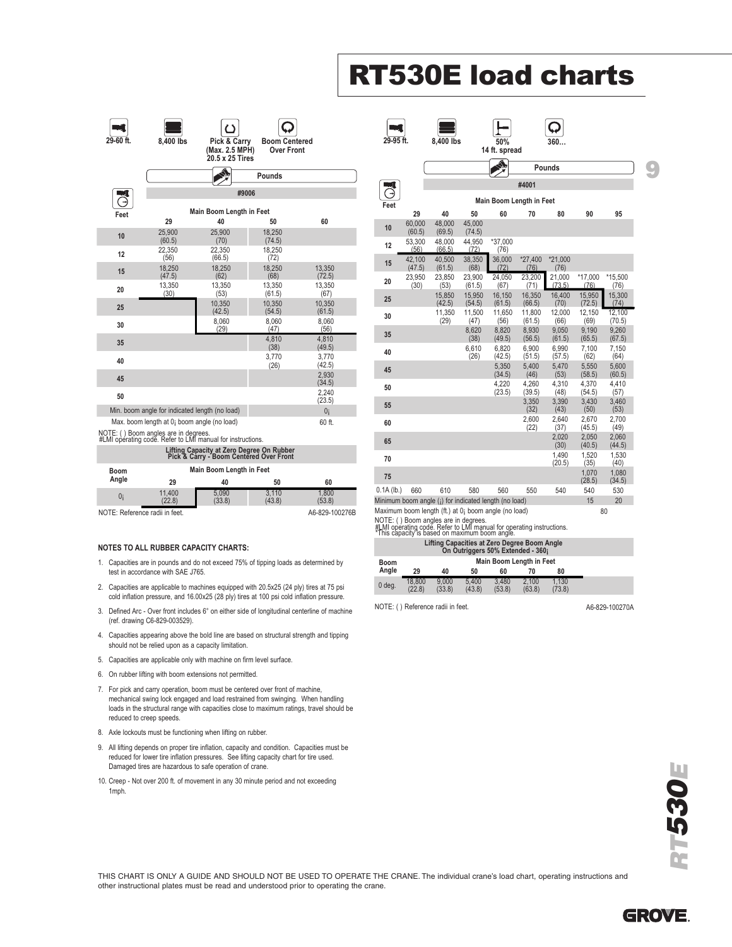# **RT530E load charts**

 $\Box$ 

 $\overline{\Omega}$ 

 $\Box$ 

 $\equiv$ 

| 29-60 ft. |                                                                                                    | ں                                                 |                                           |                  |  |  |  |  |  |  |
|-----------|----------------------------------------------------------------------------------------------------|---------------------------------------------------|-------------------------------------------|------------------|--|--|--|--|--|--|
|           | 8.400 lbs                                                                                          | Pick & Carry<br>(Max. 2.5 MPH)<br>20.5 x 25 Tires | <b>Boom Centered</b><br><b>Over Front</b> |                  |  |  |  |  |  |  |
|           |                                                                                                    |                                                   | Pounds                                    |                  |  |  |  |  |  |  |
|           |                                                                                                    | #9006                                             |                                           |                  |  |  |  |  |  |  |
| Feet      |                                                                                                    | Main Boom Length in Feet                          |                                           |                  |  |  |  |  |  |  |
|           | 29                                                                                                 | 40                                                | 50                                        | 60               |  |  |  |  |  |  |
| 10        | 25,900<br>(60.5)                                                                                   | 25,900<br>(70)                                    | 18,250<br>(74.5)                          |                  |  |  |  |  |  |  |
| 12        | 22.350<br>(56)                                                                                     | 22.350<br>(66.5)                                  | 18.250<br>(72)                            |                  |  |  |  |  |  |  |
| 15        | 18,250<br>(47.5)                                                                                   | 18,250<br>(62)                                    | 18,250<br>(68)                            | 13,350<br>(72.5) |  |  |  |  |  |  |
| 20        | 13,350<br>(30)                                                                                     | 13,350<br>(53)                                    | 13,350<br>(61.5)                          | 13,350<br>(67)   |  |  |  |  |  |  |
| 25        |                                                                                                    | 10.350<br>(42.5)                                  | 10.350<br>(54.5)                          | 10,350<br>(61.5) |  |  |  |  |  |  |
| 30        |                                                                                                    | 8.060<br>(29)                                     | 8.060<br>(47)                             | 8.060<br>(56)    |  |  |  |  |  |  |
| 35        |                                                                                                    |                                                   | 4.810<br>(38)                             | 4.810<br>(49.5)  |  |  |  |  |  |  |
| 40        |                                                                                                    |                                                   | 3.770<br>(26)                             | 3.770<br>(42.5)  |  |  |  |  |  |  |
| 45        |                                                                                                    |                                                   |                                           | 2,930<br>(34.5)  |  |  |  |  |  |  |
| 50        |                                                                                                    |                                                   |                                           | 2.240<br>(23.5)  |  |  |  |  |  |  |
|           | Min. boom angle for indicated length (no load)                                                     |                                                   |                                           | 0 <sub>i</sub>   |  |  |  |  |  |  |
|           | Max. boom length at 0; boom angle (no load)                                                        |                                                   |                                           | 60 ft.           |  |  |  |  |  |  |
|           | NOTE: () Boom angles are in degrees.<br>#LMI operating code. Refer to LMI manual for instructions. |                                                   |                                           |                  |  |  |  |  |  |  |

| Lifting Capacity at Zero Degree On Rubber<br>Pick & Carry - Boom Centered Over Front |                          |                 |                 |                 |  |  |  |  |  |
|--------------------------------------------------------------------------------------|--------------------------|-----------------|-----------------|-----------------|--|--|--|--|--|
| <b>Boom</b><br>Angle                                                                 | Main Boom Length in Feet |                 |                 |                 |  |  |  |  |  |
|                                                                                      | 29                       | 40              | 50              | 60              |  |  |  |  |  |
| 0i                                                                                   | 11.400<br>(22.8)         | 5.090<br>(33.8) | 3.110<br>(43.8) | 1.800<br>(53.8) |  |  |  |  |  |
| NOTE: Reference radii in feet.                                                       |                          |                 |                 | A6-829-100276B  |  |  |  |  |  |

#### **NOTES TO ALL RUBBER CAPACITY CHARTS:**

- 1. Capacities are in pounds and do not exceed 75% of tipping loads as determined by test in accordance with SAE J765.
- 2. Capacities are applicable to machines equipped with 20.5x25 (24 ply) tires at 75 psi cold inflation pressure, and 16.00x25 (28 ply) tires at 100 psi cold inflation pressure.
- 3. Defined Arc Over front includes 6° on either side of longitudinal centerline of machine (ref. drawing C6-829-003529).
- 4. Capacities appearing above the bold line are based on structural strength and tipping should not be relied upon as a capacity limitation.
- 5. Capacities are applicable only with machine on firm level surface.
- 6. On rubber lifting with boom extensions not permitted.
- 7. For pick and carry operation, boom must be centered over front of machine, mechanical swing lock engaged and load restrained from swinging. When handling loads in the structural range with capacities close to maximum ratings, travel should be reduced to creep speeds.
- 8. Axle lockouts must be functioning when lifting on rubber.
- 9. All lifting depends on proper tire inflation, capacity and condition. Capacities must be reduced for lower tire inflation pressures. See lifting capacity chart for tire used. Damaged tires are hazardous to safe operation of crane.
- 10. Creep Not over 200 ft. of movement in any 30 minute period and not exceeding 1mph.

|              |                  |                  |                  |                          |                  | Pounds           |                  |                  |  |
|--------------|------------------|------------------|------------------|--------------------------|------------------|------------------|------------------|------------------|--|
|              |                  | #4001            |                  |                          |                  |                  |                  |                  |  |
|              |                  |                  |                  | Main Boom Length in Feet |                  |                  |                  |                  |  |
| Feet         | 29               | 40               | 50               | 60                       | 70               | 80               | 90               | 95               |  |
| 10           | 60,000<br>(60.5) | 48,000<br>(69.5) | 45,000<br>(74.5) |                          |                  |                  |                  |                  |  |
| 12           | 53,300<br>(56)   | 48.000<br>(66.5) | 44.950<br>(72)   | *37.000<br>(76)          |                  |                  |                  |                  |  |
| 15           | 42,100<br>(47.5) | 40,500<br>(61.5) | 38,350<br>(68)   | 36,000<br>(72)           | *27,400<br>(76)  | *21,000<br>(76)  |                  |                  |  |
| 20           | 23,950<br>(30)   | 23,850<br>(53)   | 23,900<br>(61.5) | 24,050<br>(67)           | 23,200<br>(71)   | 21,000<br>(73.5) | *17,000<br>(76)  | *15,500<br>(76)  |  |
| 25           |                  | 15,850<br>(42.5) | 15,950<br>(54.5) | 16,150<br>(61.5)         | 16,350<br>(66.5) | 16,400<br>(70)   | 15,950<br>(72.5) | 15,300<br>(74)   |  |
| 30           |                  | 11,350<br>(29)   | 11,500<br>(47)   | 11,650<br>(56)           | 11,800<br>(61.5) | 12,000<br>(66)   | 12,150<br>(69)   | 12.100<br>(70.5) |  |
| 35           |                  |                  | 8,620<br>(38)    | 8,820<br>(49.5)          | 8,930<br>(56.5)  | 9,050<br>(61.5)  | 9,190<br>(65.5)  | 9,260<br>(67.5)  |  |
| 40           |                  |                  | 6,610<br>(26)    | 6,820<br>(42.5)          | 6.900<br>(51.5)  | 6.990<br>(57.5)  | 7.100<br>(62)    | 7.150<br>(64)    |  |
| 45           |                  |                  |                  | 5.350<br>(34.5)          | 5.400<br>(46)    | 5.470<br>(53)    | 5.550<br>(58.5)  | 5.600<br>(60.5)  |  |
| 50           |                  |                  |                  | 4,220<br>(23.5)          | 4,260<br>(39.5)  | 4,310<br>(48)    | 4,370<br>(54.5)  | 4,410<br>(57)    |  |
| 55           |                  |                  |                  |                          | 3.350<br>(32)    | 3.390<br>(43)    | 3.430<br>(50)    | 3.460<br>(53)    |  |
| 60           |                  |                  |                  |                          | 2,600<br>(22)    | 2,640<br>(37)    | 2,670<br>(45.5)  | 2,700<br>(49)    |  |
| 65           |                  |                  |                  |                          |                  | 2,020<br>(30)    | 2,050<br>(40.5)  | 2,060<br>(44.5)  |  |
| 70           |                  |                  |                  |                          |                  | 1.490<br>(20.5)  | 1.520<br>(35)    | 1.530<br>(40)    |  |
| 75           |                  |                  |                  |                          |                  |                  | 1.070<br>(28.5)  | 1,080<br>(34.5)  |  |
| $0.1A$ (lb.) | 660              | 610              | 580              | 560                      | 550              | 540              | 540<br>15        | 530<br>20        |  |

NOTE: ( ) Boom angles are in degrees. #LMI operating code. Refer to LMI manual for operating instructions. \*This capacity is based on maximum boom angle.

|                                                                                   | THIS CADACILY IS DASCU OITHIAAIHUIH DOOIH AHUIC. |                 |                 |                 |                 |                 |  |  |  |  |
|-----------------------------------------------------------------------------------|--------------------------------------------------|-----------------|-----------------|-----------------|-----------------|-----------------|--|--|--|--|
| Lifting Capacities at Zero Degree Boom Angle<br>On Outriggers 50% Extended - 360; |                                                  |                 |                 |                 |                 |                 |  |  |  |  |
| Boom                                                                              | <b>Main Boom Length in Feet</b>                  |                 |                 |                 |                 |                 |  |  |  |  |
| Angle                                                                             | 29                                               | 40              | 50              | 60              | 70              | 80              |  |  |  |  |
| $0$ deg.                                                                          | 18.800<br>(22.8)                                 | 9.000<br>(33.8) | 5.400<br>(43.8) | 3.480<br>(53.8) | 2.100<br>(63.8) | 1.130<br>(73.8) |  |  |  |  |

NOTE: ( ) Reference radii in feet. A6-829-100270A



THIS CHART IS ONLY A GUIDE AND SHOULD NOT BE USED TO OPERATE THE CRANE. The individual crane's load chart, operating instructions and other instructional plates must be read and understood prior to operating the crane.

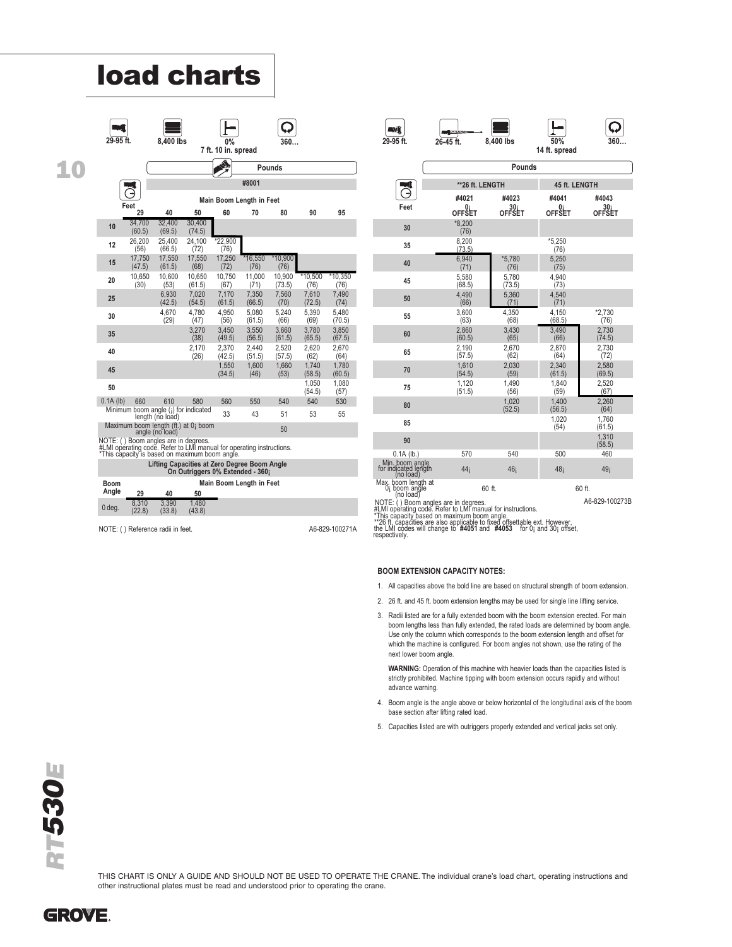|             | OZ[0]            |                                                          | enai                                                                                                                   |                                  |                          |                   |                           |                         |
|-------------|------------------|----------------------------------------------------------|------------------------------------------------------------------------------------------------------------------------|----------------------------------|--------------------------|-------------------|---------------------------|-------------------------|
| 29-95 ft.   |                  | 8.400 lbs                                                |                                                                                                                        | <b>0%</b><br>7 ft. 10 in. spread |                          | 360.              |                           |                         |
|             |                  |                                                          |                                                                                                                        |                                  |                          | Pounds            |                           |                         |
|             |                  |                                                          |                                                                                                                        |                                  | #8001                    |                   |                           |                         |
|             | Feet             |                                                          |                                                                                                                        |                                  | Main Boom Length in Feet |                   |                           |                         |
|             | 29               | 40                                                       | 50                                                                                                                     | 60                               | 70                       | 80                | 90                        | 95                      |
| 10          | 34,700<br>(60.5) | 32.400<br>(69.5)                                         | 30,400<br>(74.5)                                                                                                       |                                  |                          |                   |                           |                         |
| 12          | 26,200<br>(56)   | 25.400<br>(66.5)                                         | 24,100<br>(72)                                                                                                         | *22,900<br>(76)                  |                          |                   |                           |                         |
| 15          | 17,750<br>(47.5) | 17,550<br>(61.5)                                         | 17,550<br>(68)                                                                                                         | 17,250<br>(72)                   | *16,550<br>(76)          | $*10,900$<br>(76) |                           |                         |
| 20          | 10,650<br>(30)   | 10,600<br>(53)                                           | 10,650<br>(61.5)                                                                                                       | 10.750<br>(67)                   | 11,000<br>(71)           | 10,900<br>(73.5)  | $*10,500$<br>(76)         | $*10,350$<br>(76)       |
| 25          |                  | 6.930<br>(42.5)                                          | 7.020<br>(54.5)                                                                                                        | 7.170<br>(61.5)                  | 7,350<br>(66.5)          | 7.560<br>(70)     | 7.610<br>(72.5)           | 7.490<br>(74)           |
| 30          |                  | 4,670<br>(29)                                            | 4,780<br>(47)                                                                                                          | 4,950<br>(56)                    | 5,080<br>(61.5)          | 5,240<br>(66)     | 5,390<br>(69)             | 5,480<br>(70.5)         |
| 35          |                  |                                                          | 3.270<br>(38)                                                                                                          | 3.450<br>(49.5)                  | 3,550<br>(56.5)          | 3.660<br>(61.5)   | 3.780<br>(65.5)           | 3.850<br>(67.5)         |
| 40          |                  |                                                          | 2,170<br>(26)                                                                                                          | 2,370<br>(42.5)                  | 2,440<br>(51.5)          | 2,520<br>(57.5)   | 2,620<br>(62)             | 2,670<br>(64)           |
| 45          |                  |                                                          |                                                                                                                        | 1,550<br>(34.5)                  | 1,600<br>(46)            | 1,660<br>(53)     | 1,740                     | 1,780                   |
| 50          |                  |                                                          |                                                                                                                        |                                  |                          |                   | (58.5)<br>1.050<br>(54.5) | (60.5)<br>1,080<br>(57) |
| $0.1A$ (lb) | 660              | 610                                                      | 580                                                                                                                    | 560                              | 550                      | 540               | 540                       | 530                     |
|             |                  | Minimum boom angle (;) for indicated<br>length (no load) |                                                                                                                        | 33                               | 43                       | 51                | 53                        | 55                      |
|             |                  | angle (no load)                                          | Maximum boom length (ft.) at 0; boom                                                                                   |                                  |                          | 50                |                           |                         |
|             |                  | NOTE: () Boom angles are in degrees.                     | #LMI operating code. Refer to LMI manual for operating instructions.<br>*This capacity is based on maximum boom angle. |                                  |                          |                   |                           |                         |
|             |                  |                                                          | Lifting Capacities at Zero Degree Boom Angle<br>On Outriggers 0% Extended - 360;                                       |                                  |                          |                   |                           |                         |
| Boom        |                  |                                                          |                                                                                                                        |                                  | Main Boom Length in Feet |                   |                           |                         |
| Angle       | 29               | 40                                                       | 50                                                                                                                     |                                  |                          |                   |                           |                         |
| 0 deg.      | 8,310<br>(22.8)  | 3.390<br>(33.8)                                          | 1.480<br>(43.8)                                                                                                        |                                  |                          |                   |                           |                         |

**load charts**

NOTE: ( ) Reference radii in feet. A6-829-100271A

| <b>AVE</b> | <b>TUVARIA</b> |           |            |     |
|------------|----------------|-----------|------------|-----|
| 29-95 ft.  | 26-45 ft.      | 8.400 lbs | 50%        | 360 |
|            |                |           | ft. spread |     |

|                                                               |                     | Pounds                           |                  |                           |
|---------------------------------------------------------------|---------------------|----------------------------------|------------------|---------------------------|
|                                                               | ** 26 ft. LENGTH    |                                  | 45 ft. LENGTH    |                           |
|                                                               | #4021               | #4023                            | #4041            | #4043                     |
| Feet                                                          | 0i<br><b>OFFŠET</b> | 30 <sub>i</sub><br><b>OFFSET</b> | 0i<br>OFFŠET     | 30 <sub>i</sub><br>OFFŠET |
| 30                                                            | *8.200<br>(76)      |                                  |                  |                           |
| 35                                                            | 8,200<br>(73.5)     |                                  | $*5,250$<br>(76) |                           |
| 40                                                            | 6.940<br>(71)       | *5,780<br>(76)                   | 5.250<br>(75)    |                           |
| 45                                                            | 5,580<br>(68.5)     | 5,780<br>(73.5)                  | 4.940<br>(73)    |                           |
| 50                                                            | 4.490<br>(66)       | 5,360<br>(71)                    | 4.540<br>(71)    |                           |
| 55                                                            | 3.600<br>(63)       | 4,350<br>(68)                    | 4,150<br>(68.5)  | *2,730<br>(76)            |
| 60                                                            | 2.860<br>(60.5)     | 3.430<br>(65)                    | 3,490<br>(66)    | 2,730<br>(74.5)           |
| 65                                                            | 2,190<br>(57.5)     | 2,670<br>(62)                    | 2,870<br>(64)    | 2,730<br>(72)             |
| 70                                                            | 1,610<br>(54.5)     | 2,030<br>(59)                    | 2,340<br>(61.5)  | 2,580<br>(69.5)           |
| 75                                                            | 1,120<br>(51.5)     | 1,490<br>(56)                    | 1,840<br>(59)    | 2,520<br>(67)             |
| 80                                                            |                     | 1.020<br>(52.5)                  | 1.400<br>(56.5)  | 2.260<br>(64)             |
| 85                                                            |                     |                                  | 1,020<br>(54)    | 1,760<br>(61.5)           |
| 90                                                            |                     |                                  |                  | 1,310<br>(58.5)           |
| $0.1A$ (lb.)                                                  | 570                 | 540                              | 500              | 460                       |
| Min. boom angle<br>for indicated length<br>(no load)          | 44 <sub>i</sub>     | 46 <sub>i</sub>                  | 48 <sub>i</sub>  | 49 <sub>i</sub>           |
| Max. boom length at<br>0 <sub>i</sub> boom angle<br>(no load) | 60 ft.              |                                  |                  | 60 ft.                    |
| NOTE: () Boom angles are in degrees.                          |                     |                                  |                  | A6-829-100273B            |

#LMI opérating code Refer to LMI manual for instructions.<br>\*This capacity based on maximum boom angle fractions.<br>\*\*26 ft. capacities are also applicable to fixed offsettable ext. However,<br>the LMI codes will change to #4051

#### **BOOM EXTENSION CAPACITY NOTES:**

- 1. All capacities above the bold line are based on structural strength of boom extension.
- 2. 26 ft. and 45 ft. boom extension lengths may be used for single line lifting service.
- 3. Radii listed are for a fully extended boom with the boom extension erected. For main boom lengths less than fully extended, the rated loads are determined by boom angle. Use only the column which corresponds to the boom extension length and offset for which the machine is configured. For boom angles not shown, use the rating of the next lower boom angle.

**WARNING:** Operation of this machine with heavier loads than the capacities listed is strictly prohibited. Machine tipping with boom extension occurs rapidly and without advance warning.

- 4. Boom angle is the angle above or below horizontal of the longitudinal axis of the boom base section after lifting rated load.
- 5. Capacities listed are with outriggers properly extended and vertical jacks set only.



THIS CHART IS ONLY A GUIDE AND SHOULD NOT BE USED TO OPERATE THE CRANE. The individual crane's load chart, operating instructions and other instructional plates must be read and understood prior to operating the crane.

**GROVE.**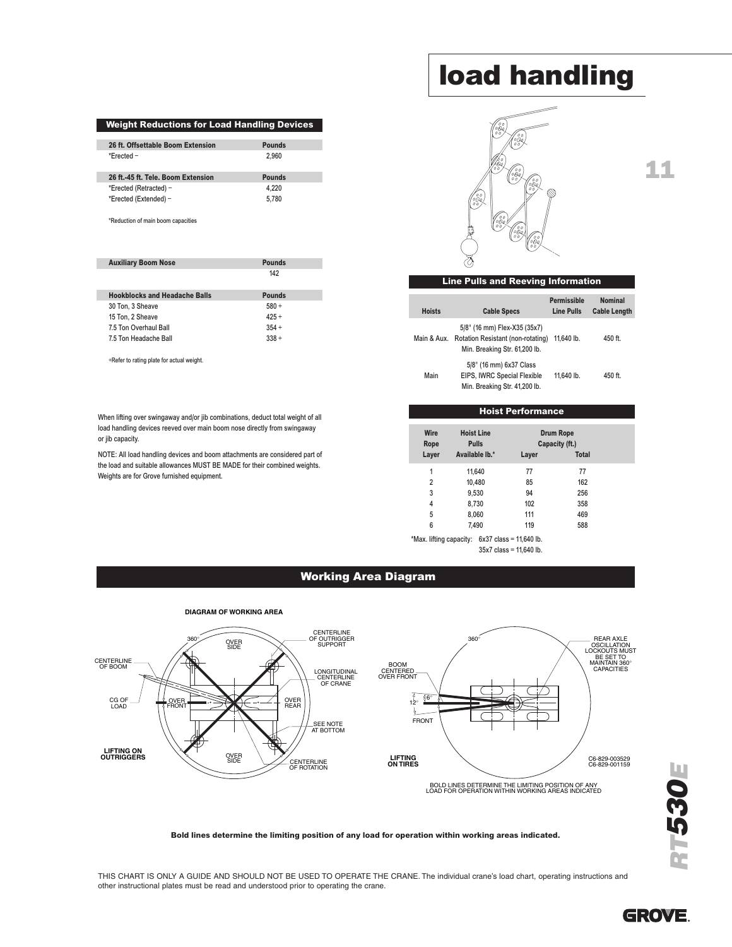#### **Weight Reductions for Load Handling Devices**

| 26 ft. Offsettable Boom Extension  | <b>Pounds</b> |
|------------------------------------|---------------|
| *Frected $-$                       | 2.960         |
|                                    |               |
| 26 ft. 45 ft. Tele, Boom Extension | Pounds        |
| *Erected (Retracted) -             | 4.220         |

\*Reduction of main boom capacities

| <b>Auxiliary Boom Nose</b>           | <b>Pounds</b> |
|--------------------------------------|---------------|
|                                      | 142           |
|                                      |               |
| <b>Hookblocks and Headache Balls</b> | <b>Pounds</b> |
| 30 Ton. 3 Sheave                     | $580 +$       |
| 15 Ton. 2 Sheave                     | $425 +$       |
| 7.5 Ton Overhaul Ball                | $354 +$       |
| 7.5 Ton Headache Ball                | $338 +$       |

+Refer to rating plate for actual weight.

When lifting over swingaway and/or jib combinations, deduct total weight of all load handling devices reeved over main boom nose directly from swingaway or jib capacity.

NOTE: All load handling devices and boom attachments are considered part of the load and suitable allowances MUST BE MADE for their combined weights. Weights are for Grove furnished equipment.

## **load handling**



## **11**

#### **Line Pulls and Reeving Information**

| <b>Hoists</b> | <b>Cable Specs</b>                                                                                 | Permissible<br><b>Line Pulls</b> | <b>Nominal</b><br><b>Cable Length</b> |
|---------------|----------------------------------------------------------------------------------------------------|----------------------------------|---------------------------------------|
| Main & Aux.   | 5/8" (16 mm) Flex-X35 (35x7)<br>Rotation Resistant (non-rotating)<br>Min. Breaking Str. 61,200 lb. | 11.640 lb.                       | 450 ft.                               |
| Main          | 5/8" (16 mm) 6x37 Class<br>EIPS, IWRC Special Flexible<br>Min. Breaking Str. 41,200 lb.            | 11.640 lb.                       | 450 ft                                |

#### **Hoist Performance**

| Wire<br>Rope   | <b>Hoist Line</b><br><b>Pulls</b> |       | <b>Drum Rope</b><br>Capacity (ft.) |
|----------------|-----------------------------------|-------|------------------------------------|
| Layer          | Available lb.*                    | Layer | <b>Total</b>                       |
| 1              | 11,640                            | 77    | 77                                 |
| $\overline{2}$ | 10,480                            | 85    | 162                                |
| 3              | 9,530                             | 94    | 256                                |
| 4              | 8,730                             | 102   | 358                                |
| 5              | 8,060                             | 111   | 469                                |
| 6              | 7,490                             | 119   | 588                                |

SIDE

CENTER CENTER

\*Max. lifting capacity: 6x37 class = 11,640 lb. 35x7 class = 11,640 lb.

### **Working Area Diagram LIFTING ON OUTRIGGERS**



#### Bold lines determine the limiting position of any load for operation within working areas indicated.

THIS CHART IS ONLY A GUIDE AND SHOULD NOT BE USED TO OPERATE THE CRANE. The individual crane's load chart, operating instructions and other instructional plates must be read and understood prior to operating the crane.



*R*

*T530E*